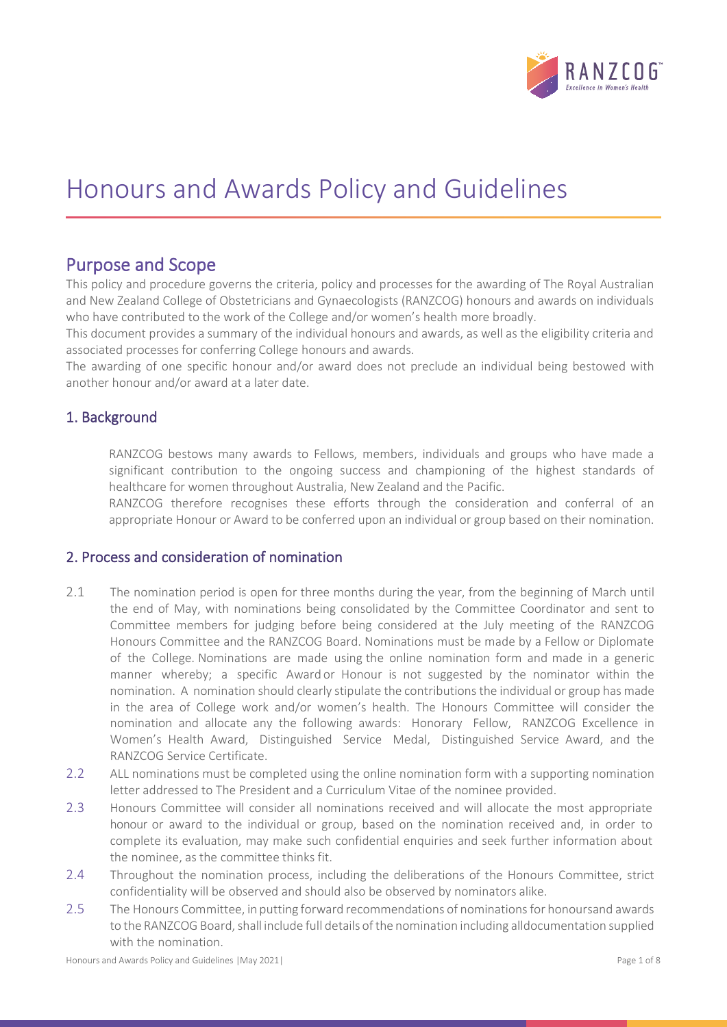

# Honours and Awards Policy and Guidelines

**Purpose and Scope**<br>This policy and procedure governs the criteria, policy and processes for the awarding of The Royal Australian and New Zealand College of Obstetricians and Gynaecologists (RANZCOG) honours and awards on individuals who have contributed to the work of the College and/or women's health more broadly.

This document provides a summary of the individual honours and awards, as well as the eligibility criteria and associated processes for conferring College honours and awards.

The awarding of one specific honour and/or award does not preclude an individual being bestowed with another honour and/or award at a later date.

# 1. Background

RANZCOG bestows many awards to Fellows, members, individuals and groups who have made a significant contribution to the ongoing success and championing of the highest standards of healthcare for women throughout Australia, New Zealand and the Pacific.

RANZCOG therefore recognises these efforts through the consideration and conferral of an appropriate Honour or Award to be conferred upon an individual or group based on their nomination.

# 2. Process and consideration of nomination

- 2.1 The nomination period is open for three months during the year, from the beginning of March until the end of May, with nominations being consolidated by the Committee Coordinator and sent to Committee members for judging before being considered at the July meeting of the RANZCOG Honours Committee and the RANZCOG Board. Nominations must be made by a Fellow or Diplomate of the College. Nominations are made using the online nomination form and made in a generic manner whereby; a specific Award or Honour is not suggested by the nominator within the nomination. A nomination should clearly stipulate the contributions the individual or group has made in the area of College work and/or women's health. The Honours Committee will consider the nomination and allocate any the following awards: Honorary Fellow, RANZCOG Excellence in Women's Health Award, Distinguished Service Medal, Distinguished Service Award, and the RANZCOG Service Certificate.
- 2.2 ALL nominations must be completed using the online nomination form with a supporting nomination letter addressed to The President and a Curriculum Vitae of the nominee provided.
- 2.3 Honours Committee will consider all nominations received and will allocate the most appropriate honour or award to the individual or group, based on the nomination received and, in order to complete its evaluation, may make such confidential enquiries and seek further information about the nominee, as the committee thinks fit.
- 2.4 Throughout the nomination process, including the deliberations of the Honours Committee, strict confidentiality will be observed and should also be observed by nominators alike.
- 2.5 The Honours Committee, in putting forward recommendations of nominations for honoursand awards to the RANZCOG Board, shall include full details of the nomination including alldocumentation supplied with the nomination.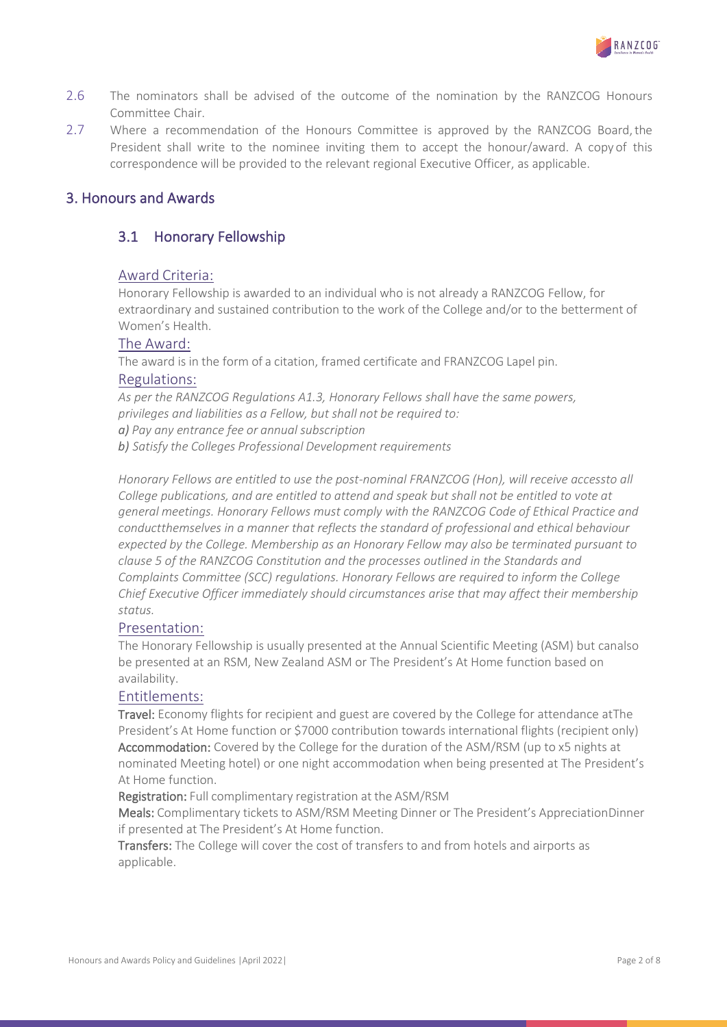

- 2.6 The nominators shall be advised of the outcome of the nomination by the RANZCOG Honours Committee Chair.
- 2.7 Where a recommendation of the Honours Committee is approved by the RANZCOG Board, the President shall write to the nominee inviting them to accept the honour/award. A copy of this correspondence will be provided to the relevant regional Executive Officer, as applicable.

### 3. Honours and Awards

# 3.1 Honorary Fellowship

#### Award Criteria:

Honorary Fellowship is awarded to an individual who is not already a RANZCOG Fellow, for extraordinary and sustained contribution to the work of the College and/or to the betterment of Women's Health.

#### The Award:

The award is in the form of a citation, framed certificate and FRANZCOG Lapel pin. Regulations:

*As per the RANZCOG Regulations A1.3, Honorary Fellows shall have the same powers, privileges and liabilities as a Fellow, but shall not be required to:*

*a) Pay any entrance fee or annual subscription*

*b) Satisfy the Colleges Professional Development requirements*

*Honorary Fellows are entitled to use the post-nominal FRANZCOG (Hon), will receive accessto all College publications, and are entitled to attend and speak but shall not be entitled to vote at general meetings. Honorary Fellows must comply with the RANZCOG Code of Ethical Practice and conductthemselves in a manner that reflects the standard of professional and ethical behaviour expected by the College. Membership as an Honorary Fellow may also be terminated pursuant to clause 5 of the RANZCOG Constitution and the processes outlined in the Standards and Complaints Committee (SCC) regulations. Honorary Fellows are required to inform the College Chief Executive Officer immediately should circumstances arise that may affect their membership status.*

#### Presentation:

The Honorary Fellowship is usually presented at the Annual Scientific Meeting (ASM) but canalso be presented at an RSM, New Zealand ASM or The President's At Home function based on availability.

#### Entitlements:

Travel: Economy flights for recipient and guest are covered by the College for attendance atThe President's At Home function or \$7000 contribution towards international flights (recipient only) Accommodation: Covered by the College for the duration of the ASM/RSM (up to x5 nights at nominated Meeting hotel) or one night accommodation when being presented at The President's At Home function.

Registration: Full complimentary registration at the ASM/RSM

Meals: Complimentary tickets to ASM/RSM Meeting Dinner or The President's AppreciationDinner if presented at The President's At Home function.

Transfers: The College will cover the cost of transfers to and from hotels and airports as applicable.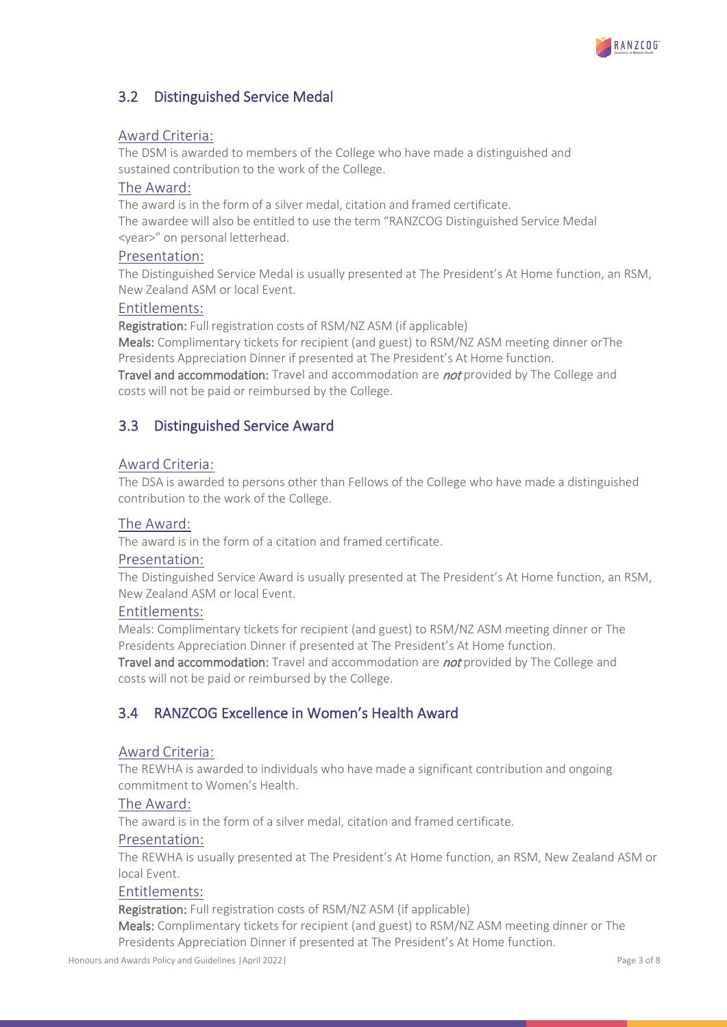

# 3.2 Distinguished Service Medal

#### Award Criteria:

The DSM is awarded to members of the College who have made a distinguished and sustained contribution to the work of the College.

#### The Award:

The award is in the form of a silver medal, citation and framed certificate. The awardee will also be entitled to use the term "RANZCOG Distinguished Service Medal <year>" on personal letterhead.

#### Presentation:

The Distinguished Service Medal is usually presented at The President's At Home function, an RSM, New Zealand ASM or local Event.

#### Entitlements:

Registration: Full registration costs of RSM/NZ ASM (if applicable)

Meals: Complimentary tickets for recipient (and guest) to RSM/NZ ASM meeting dinner orThe Presidents Appreciation Dinner if presented at The President's At Home function.

Travel and accommodation: Travel and accommodation are *not* provided by The College and costs will not be paid or reimbursed by the College.

# 3.3 Distinguished Service Award

### Award Criteria:

The DSA is awarded to persons other than Fellows of the College who have made a distinguished contribution to the work of the College.

#### The Award:

The award is in the form of a citation and framed certificate.

#### Presentation:

The Distinguished Service Award is usually presented at The President's At Home function, an RSM, New Zealand ASM or local Event.

#### Entitlements:

Meals: Complimentary tickets for recipient (and guest) to RSM/NZ ASM meeting dinner or The Presidents Appreciation Dinner if presented at The President's At Home function.

Travel and accommodation: Travel and accommodation are not provided by The College and costs will not be paid or reimbursed by the College.

# 3.4 RANZCOG Excellence in Women's Health Award

#### Award Criteria:

The REWHA is awarded to individuals who have made a significant contribution and ongoing commitment to Women's Health.

#### The Award:

The award is in the form of a silver medal, citation and framed certificate.

#### Presentation:

The REWHA is usually presented at The President's At Home function, an RSM, New Zealand ASM or local Event.

#### Entitlements:

Registration: Full registration costs of RSM/NZ ASM (if applicable)

Meals: Complimentary tickets for recipient (and guest) to RSM/NZ ASM meeting dinner or The Presidents Appreciation Dinner if presented at The President's At Home function.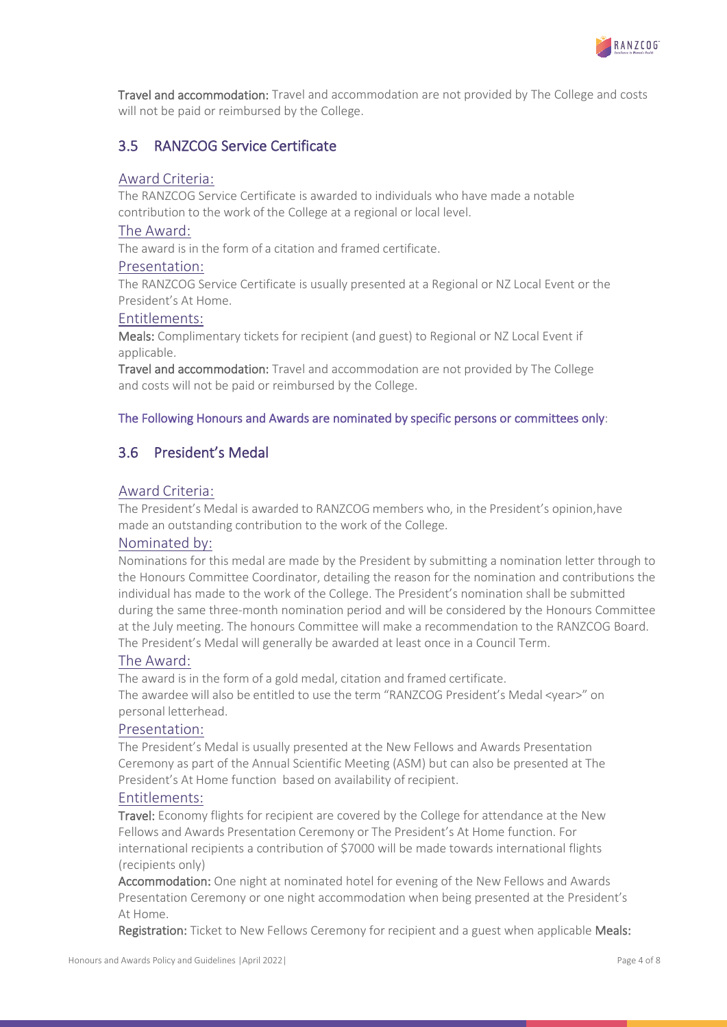

Travel and accommodation: Travel and accommodation are not provided by The College and costs will not be paid or reimbursed by the College.

# 3.5 RANZCOG Service Certificate

#### Award Criteria:

The RANZCOG Service Certificate is awarded to individuals who have made a notable contribution to the work of the College at a regional or local level.

#### The Award:

The award is in the form of a citation and framed certificate.

#### Presentation:

The RANZCOG Service Certificate is usually presented at a Regional or NZ Local Event or the President's At Home.

#### Entitlements:

Meals: Complimentary tickets for recipient (and guest) to Regional or NZ Local Event if applicable.

Travel and accommodation: Travel and accommodation are not provided by The College and costs will not be paid or reimbursed by the College.

#### The Following Honours and Awards are nominated by specific persons or committees only:

# 3.6 President's Medal

#### Award Criteria:

The President's Medal is awarded to RANZCOG members who, in the President's opinion,have made an outstanding contribution to the work of the College.

#### Nominated by:

Nominations for this medal are made by the President by submitting a nomination letter through to the Honours Committee Coordinator, detailing the reason for the nomination and contributions the individual has made to the work of the College. The President's nomination shall be submitted during the same three-month nomination period and will be considered by the Honours Committee at the July meeting. The honours Committee will make a recommendation to the RANZCOG Board. The President's Medal will generally be awarded at least once in a Council Term.

#### The Award:

The award is in the form of a gold medal, citation and framed certificate. The awardee will also be entitled to use the term "RANZCOG President's Medal <year>" on personal letterhead.

#### Presentation:

The President's Medal is usually presented at the New Fellows and Awards Presentation Ceremony as part of the Annual Scientific Meeting (ASM) but can also be presented at The President's At Home function based on availability of recipient.

#### Entitlements:

Travel: Economy flights for recipient are covered by the College for attendance at the New Fellows and Awards Presentation Ceremony or The President's At Home function. For international recipients a contribution of \$7000 will be made towards international flights (recipients only)

Accommodation: One night at nominated hotel for evening of the New Fellows and Awards Presentation Ceremony or one night accommodation when being presented at the President's At Home.

Registration: Ticket to New Fellows Ceremony for recipient and a guest when applicable Meals: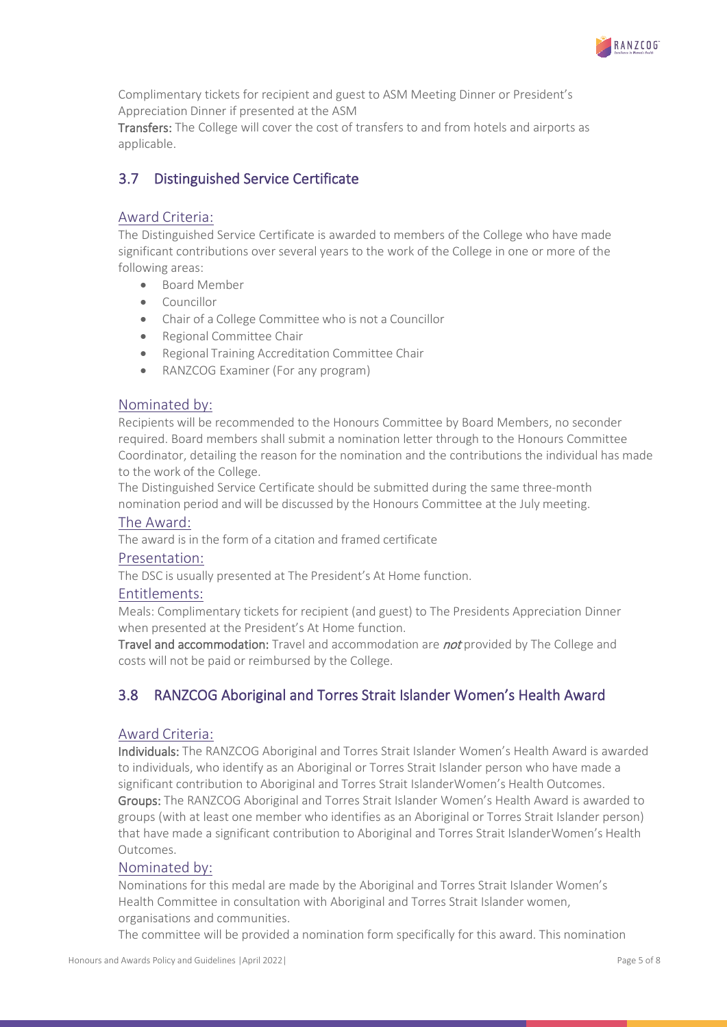

Complimentary tickets for recipient and guest to ASM Meeting Dinner or President's Appreciation Dinner if presented at the ASM

Transfers: The College will cover the cost of transfers to and from hotels and airports as applicable.

# 3.7 Distinguished Service Certificate

### Award Criteria:

The Distinguished Service Certificate is awarded to members of the College who have made significant contributions over several years to the work of the College in one or more of the following areas:

- Board Member
- **Councillor**
- Chair of a College Committee who is not a Councillor
- Regional Committee Chair
- Regional Training Accreditation Committee Chair
- RANZCOG Examiner (For any program)

### Nominated by:

Recipients will be recommended to the Honours Committee by Board Members, no seconder required. Board members shall submit a nomination letter through to the Honours Committee Coordinator, detailing the reason for the nomination and the contributions the individual has made to the work of the College.

The Distinguished Service Certificate should be submitted during the same three-month nomination period and will be discussed by the Honours Committee at the July meeting.

#### The Award:

The award is in the form of a citation and framed certificate

#### Presentation:

The DSC is usually presented at The President's At Home function.

#### Entitlements:

Meals: Complimentary tickets for recipient (and guest) to The Presidents Appreciation Dinner when presented at the President's At Home function.

Travel and accommodation: Travel and accommodation are *not* provided by The College and costs will not be paid or reimbursed by the College.

# 3.8 RANZCOG Aboriginal and Torres Strait Islander Women's Health Award

#### Award Criteria:

Individuals: The RANZCOG Aboriginal and Torres Strait Islander Women's Health Award is awarded to individuals, who identify as an Aboriginal or Torres Strait Islander person who have made a significant contribution to Aboriginal and Torres Strait IslanderWomen's Health Outcomes.

Groups: The RANZCOG Aboriginal and Torres Strait Islander Women's Health Award is awarded to groups (with at least one member who identifies as an Aboriginal or Torres Strait Islander person) that have made a significant contribution to Aboriginal and Torres Strait IslanderWomen's Health Outcomes.

#### Nominated by:

Nominations for this medal are made by the Aboriginal and Torres Strait Islander Women's Health Committee in consultation with Aboriginal and Torres Strait Islander women, organisations and communities.

The committee will be provided a nomination form specifically for this award. This nomination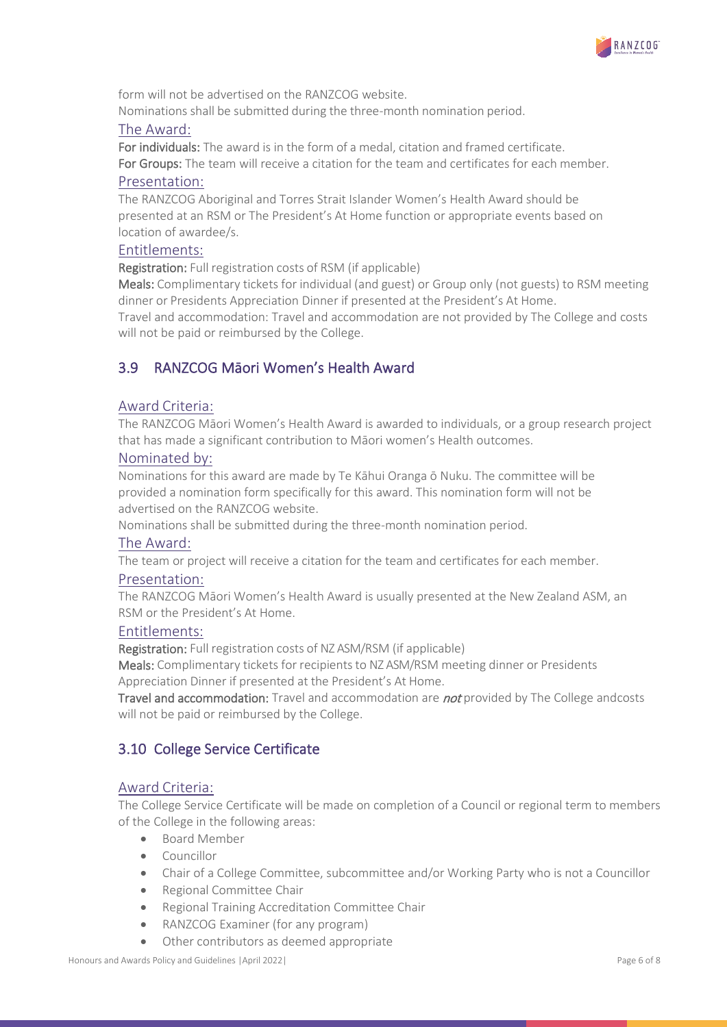

form will not be advertised on the RANZCOG website. Nominations shall be submitted during the three-month nomination period.

#### The Award:

For individuals: The award is in the form of a medal, citation and framed certificate. For Groups: The team will receive a citation for the team and certificates for each member.

#### Presentation:

The RANZCOG Aboriginal and Torres Strait Islander Women's Health Award should be presented at an RSM or The President's At Home function or appropriate events based on location of awardee/s.

#### Entitlements:

Registration: Full registration costs of RSM (if applicable)

Meals: Complimentary tickets for individual (and guest) or Group only (not guests) to RSM meeting dinner or Presidents Appreciation Dinner if presented at the President's At Home.

Travel and accommodation: Travel and accommodation are not provided by The College and costs will not be paid or reimbursed by the College.

# 3.9 RANZCOG Māori Women's Health Award

#### Award Criteria:

The RANZCOG Māori Women's Health Award is awarded to individuals, or a group research project that has made a significant contribution to Māori women's Health outcomes.

#### Nominated by:

Nominations for this award are made by Te Kāhui Oranga ō Nuku. The committee will be provided a nomination form specifically for this award. This nomination form will not be advertised on the RANZCOG website.

Nominations shall be submitted during the three-month nomination period.

#### The Award:

The team or project will receive a citation for the team and certificates for each member.

#### Presentation:

The RANZCOG Māori Women's Health Award is usually presented at the New Zealand ASM, an RSM or the President's At Home.

#### Entitlements:

Registration: Full registration costs of NZ ASM/RSM (if applicable)

Meals: Complimentary tickets for recipients to NZ ASM/RSM meeting dinner or Presidents Appreciation Dinner if presented at the President's At Home.

Travel and accommodation: Travel and accommodation are *not* provided by The College andcosts will not be paid or reimbursed by the College.

# 3.10 College Service Certificate

#### Award Criteria:

The College Service Certificate will be made on completion of a Council or regional term to members of the College in the following areas:

- Board Member
- Councillor
- Chair of a College Committee, subcommittee and/or Working Party who is not a Councillor
- Regional Committee Chair
- Regional Training Accreditation Committee Chair
- RANZCOG Examiner (for any program)
- Other contributors as deemed appropriate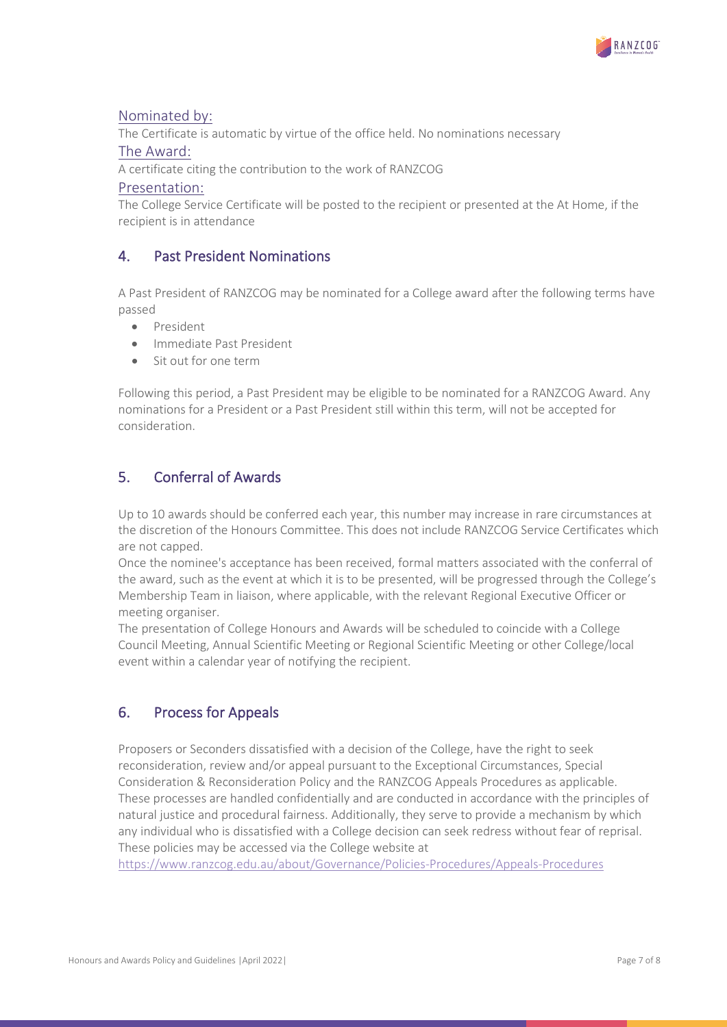

### Nominated by:

The Certificate is automatic by virtue of the office held. No nominations necessary

#### The Award:

A certificate citing the contribution to the work of RANZCOG

#### Presentation:

The College Service Certificate will be posted to the recipient or presented at the At Home, if the recipient is in attendance

# 4. Past President Nominations

A Past President of RANZCOG may be nominated for a College award after the following terms have passed

- President
- Immediate Past President
- Sit out for one term

Following this period, a Past President may be eligible to be nominated for a RANZCOG Award. Any nominations for a President or a Past President still within this term, will not be accepted for consideration.

# 5. Conferral of Awards

Up to 10 awards should be conferred each year, this number may increase in rare circumstances at the discretion of the Honours Committee. This does not include RANZCOG Service Certificates which are not capped.

Once the nominee's acceptance has been received, formal matters associated with the conferral of the award, such as the event at which it is to be presented, will be progressed through the College's Membership Team in liaison, where applicable, with the relevant Regional Executive Officer or meeting organiser.

The presentation of College Honours and Awards will be scheduled to coincide with a College Council Meeting, Annual Scientific Meeting or Regional Scientific Meeting or other College/local event within a calendar year of notifying the recipient.

# 6. Process for Appeals

Proposers or Seconders dissatisfied with a decision of the College, have the right to seek reconsideration, review and/or appeal pursuant to the Exceptional Circumstances, Special Consideration & Reconsideration Policy and the RANZCOG Appeals Procedures as applicable. These processes are handled confidentially and are conducted in accordance with the principles of natural justice and procedural fairness. Additionally, they serve to provide a mechanism by which any individual who is dissatisfied with a College decision can seek redress without fear of reprisal. These policies may be accessed via the College website at

<https://www.ranzcog.edu.au/about/Governance/Policies-Procedures/Appeals-Procedures>